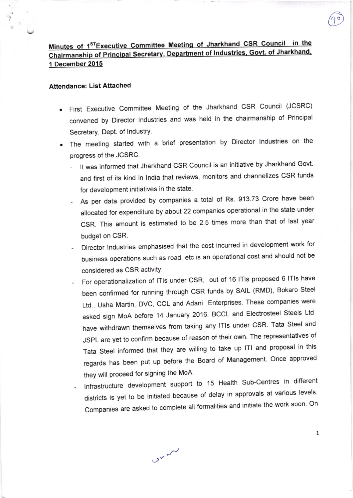## Minutes of 1<sup>ST</sup>Executive Committee Meeting of Jharkhand CSR Council in the Chairmanship of Principal Secretary, Department of Industries, Govt. of Jharkhand, 1 December 2015

## Attendance: List Attached

- First Executive committee Meeting of the Jharkhand csR council (JCSRC) convened by Director lndustries and was held in the chairmanship of Principal Secretary, Dept. of Industry.
- The meeting started with a brief presentation by Director lndustries on the progress of the JCSRC.
	- It was informed that Jharkhand CSR Council is an initiative by Jharkhand Govt. and first of its kind in lndia that reviews, monitors and channelizes cSR funds for development initiatives in the state.
	- As per data provided by companies a total of Rs. 913.73 Crore have been allocated for expenditure by about 22 companies operational in the state under CSR, This amount is estimated to be 2.5 times more than that of last year budget on CSR.
	- Director Industries emphasised that the cost incurred in development work for business operations such as road, etc is an operational cost and should not be considered as CSR activitY
	- For operationalization of ITIs under CSR, out of 16 ITIs proposed 6 ITIs have been confirmed for running through CSR funds by SAIL (RMD), Bokaro Steel Ltd., Usha Martin, DVC, CCL and Adani Enterprises. These companies were asked sign MoA before 14 January 2016. BCCL and Electrosteel Steels Ltd. have withdrawn themselves from taking any lTls under CSR Tata Steel and JSPL are yet to confirm because of reason of their own. The representatives of Tata steel informed that they are willing to take up lTl and proposal in this regards has been put up before the Board of Management. Once approved they will proceed for signing the MoA.
	- Infrastructure development support to 15 Health Sub-Centres in different districts is yet to be initiated because of delay in approvals at various levels. Companies are asked to complete all formalities and initiate the work soon. On

 $v^{2}$ 

1

(90)